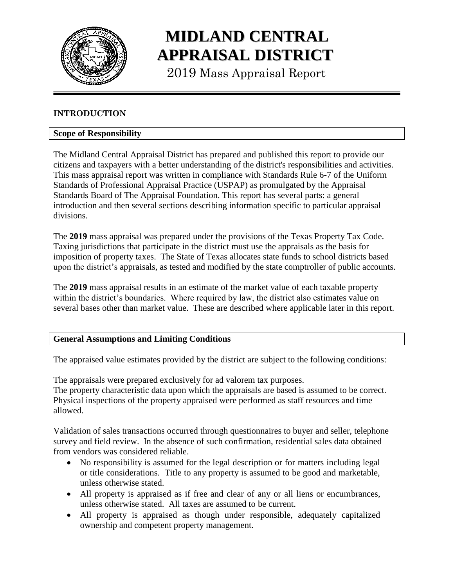

# **MIDLAND CENTRAL APPRAISAL DISTRICT**

2019 Mass Appraisal Report

# **INTRODUCTION**

# **Scope of Responsibility**

The Midland Central Appraisal District has prepared and published this report to provide our citizens and taxpayers with a better understanding of the district's responsibilities and activities. This mass appraisal report was written in compliance with Standards Rule 6-7 of the Uniform Standards of Professional Appraisal Practice (USPAP) as promulgated by the Appraisal Standards Board of The Appraisal Foundation. This report has several parts: a general introduction and then several sections describing information specific to particular appraisal divisions.

The **2019** mass appraisal was prepared under the provisions of the Texas Property Tax Code. Taxing jurisdictions that participate in the district must use the appraisals as the basis for imposition of property taxes. The State of Texas allocates state funds to school districts based upon the district's appraisals, as tested and modified by the state comptroller of public accounts.

The **2019** mass appraisal results in an estimate of the market value of each taxable property within the district's boundaries. Where required by law, the district also estimates value on several bases other than market value. These are described where applicable later in this report.

#### **General Assumptions and Limiting Conditions**

The appraised value estimates provided by the district are subject to the following conditions:

The appraisals were prepared exclusively for ad valorem tax purposes. The property characteristic data upon which the appraisals are based is assumed to be correct. Physical inspections of the property appraised were performed as staff resources and time allowed.

Validation of sales transactions occurred through questionnaires to buyer and seller, telephone survey and field review. In the absence of such confirmation, residential sales data obtained from vendors was considered reliable.

- No responsibility is assumed for the legal description or for matters including legal or title considerations. Title to any property is assumed to be good and marketable, unless otherwise stated.
- All property is appraised as if free and clear of any or all liens or encumbrances, unless otherwise stated. All taxes are assumed to be current.
- All property is appraised as though under responsible, adequately capitalized ownership and competent property management.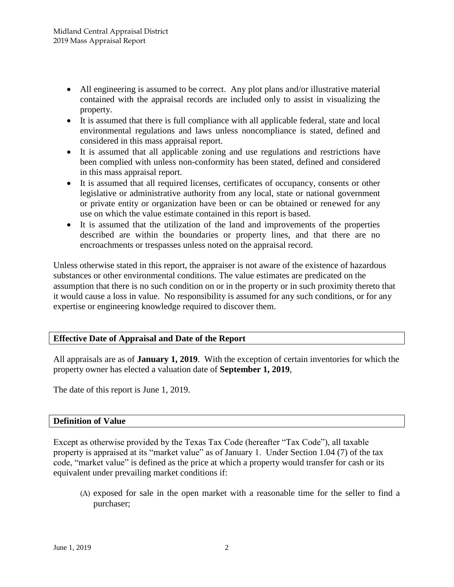- All engineering is assumed to be correct. Any plot plans and/or illustrative material contained with the appraisal records are included only to assist in visualizing the property.
- It is assumed that there is full compliance with all applicable federal, state and local environmental regulations and laws unless noncompliance is stated, defined and considered in this mass appraisal report.
- It is assumed that all applicable zoning and use regulations and restrictions have been complied with unless non-conformity has been stated, defined and considered in this mass appraisal report.
- It is assumed that all required licenses, certificates of occupancy, consents or other legislative or administrative authority from any local, state or national government or private entity or organization have been or can be obtained or renewed for any use on which the value estimate contained in this report is based.
- It is assumed that the utilization of the land and improvements of the properties described are within the boundaries or property lines, and that there are no encroachments or trespasses unless noted on the appraisal record.

Unless otherwise stated in this report, the appraiser is not aware of the existence of hazardous substances or other environmental conditions. The value estimates are predicated on the assumption that there is no such condition on or in the property or in such proximity thereto that it would cause a loss in value. No responsibility is assumed for any such conditions, or for any expertise or engineering knowledge required to discover them.

# **Effective Date of Appraisal and Date of the Report**

All appraisals are as of **January 1, 2019**. With the exception of certain inventories for which the property owner has elected a valuation date of **September 1, 2019**,

The date of this report is June 1, 2019.

#### **Definition of Value**

Except as otherwise provided by the Texas Tax Code (hereafter "Tax Code"), all taxable property is appraised at its "market value" as of January 1. Under Section 1.04 (7) of the tax code, "market value" is defined as the price at which a property would transfer for cash or its equivalent under prevailing market conditions if:

(A) exposed for sale in the open market with a reasonable time for the seller to find a purchaser;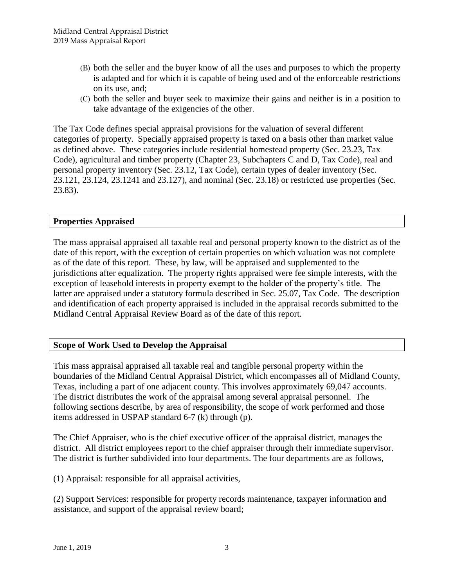- (B) both the seller and the buyer know of all the uses and purposes to which the property is adapted and for which it is capable of being used and of the enforceable restrictions on its use, and;
- (C) both the seller and buyer seek to maximize their gains and neither is in a position to take advantage of the exigencies of the other.

The Tax Code defines special appraisal provisions for the valuation of several different categories of property. Specially appraised property is taxed on a basis other than market value as defined above. These categories include residential homestead property (Sec. 23.23, Tax Code), agricultural and timber property (Chapter 23, Subchapters C and D, Tax Code), real and personal property inventory (Sec. 23.12, Tax Code), certain types of dealer inventory (Sec. 23.121, 23.124, 23.1241 and 23.127), and nominal (Sec. 23.18) or restricted use properties (Sec. 23.83).

# **Properties Appraised**

The mass appraisal appraised all taxable real and personal property known to the district as of the date of this report, with the exception of certain properties on which valuation was not complete as of the date of this report. These, by law, will be appraised and supplemented to the jurisdictions after equalization. The property rights appraised were fee simple interests, with the exception of leasehold interests in property exempt to the holder of the property's title. The latter are appraised under a statutory formula described in Sec. 25.07, Tax Code. The description and identification of each property appraised is included in the appraisal records submitted to the Midland Central Appraisal Review Board as of the date of this report.

# **Scope of Work Used to Develop the Appraisal**

This mass appraisal appraised all taxable real and tangible personal property within the boundaries of the Midland Central Appraisal District, which encompasses all of Midland County, Texas, including a part of one adjacent county. This involves approximately 69,047 accounts. The district distributes the work of the appraisal among several appraisal personnel. The following sections describe, by area of responsibility, the scope of work performed and those items addressed in USPAP standard 6-7 (k) through (p).

The Chief Appraiser, who is the chief executive officer of the appraisal district, manages the district. All district employees report to the chief appraiser through their immediate supervisor. The district is further subdivided into four departments. The four departments are as follows,

(1) Appraisal: responsible for all appraisal activities,

(2) Support Services: responsible for property records maintenance, taxpayer information and assistance, and support of the appraisal review board;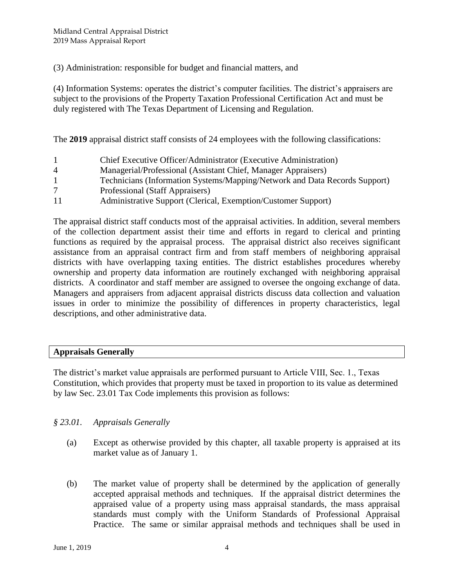(3) Administration: responsible for budget and financial matters, and

(4) Information Systems: operates the district's computer facilities. The district's appraisers are subject to the provisions of the Property Taxation Professional Certification Act and must be duly registered with The Texas Department of Licensing and Regulation.

The **2019** appraisal district staff consists of 24 employees with the following classifications:

- 1 Chief Executive Officer/Administrator (Executive Administration) 4 Managerial/Professional (Assistant Chief, Manager Appraisers) 1 Technicians (Information Systems/Mapping/Network and Data Records Support) 7 Professional (Staff Appraisers)
- 11 Administrative Support (Clerical, Exemption/Customer Support)

The appraisal district staff conducts most of the appraisal activities. In addition, several members of the collection department assist their time and efforts in regard to clerical and printing functions as required by the appraisal process. The appraisal district also receives significant assistance from an appraisal contract firm and from staff members of neighboring appraisal districts with have overlapping taxing entities. The district establishes procedures whereby ownership and property data information are routinely exchanged with neighboring appraisal districts. A coordinator and staff member are assigned to oversee the ongoing exchange of data. Managers and appraisers from adjacent appraisal districts discuss data collection and valuation issues in order to minimize the possibility of differences in property characteristics, legal descriptions, and other administrative data.

# **Appraisals Generally**

The district's market value appraisals are performed pursuant to Article VIII, Sec. 1., Texas Constitution, which provides that property must be taxed in proportion to its value as determined by law Sec. 23.01 Tax Code implements this provision as follows:

#### *§ 23.01. Appraisals Generally*

- (a) Except as otherwise provided by this chapter, all taxable property is appraised at its market value as of January 1.
- (b) The market value of property shall be determined by the application of generally accepted appraisal methods and techniques. If the appraisal district determines the appraised value of a property using mass appraisal standards, the mass appraisal standards must comply with the Uniform Standards of Professional Appraisal Practice. The same or similar appraisal methods and techniques shall be used in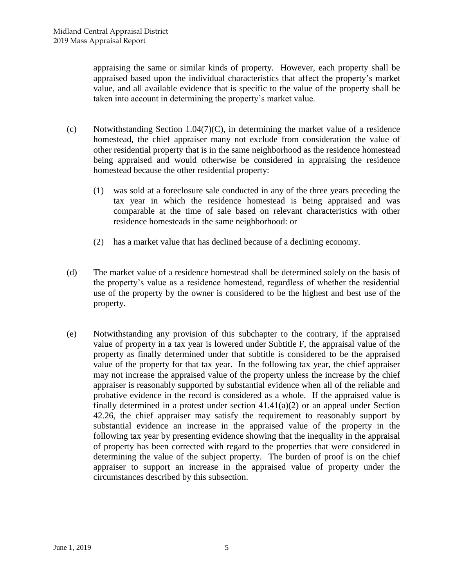appraising the same or similar kinds of property. However, each property shall be appraised based upon the individual characteristics that affect the property's market value, and all available evidence that is specific to the value of the property shall be taken into account in determining the property's market value.

- (c) Notwithstanding Section 1.04(7)(C), in determining the market value of a residence homestead, the chief appraiser many not exclude from consideration the value of other residential property that is in the same neighborhood as the residence homestead being appraised and would otherwise be considered in appraising the residence homestead because the other residential property:
	- (1) was sold at a foreclosure sale conducted in any of the three years preceding the tax year in which the residence homestead is being appraised and was comparable at the time of sale based on relevant characteristics with other residence homesteads in the same neighborhood: or
	- (2) has a market value that has declined because of a declining economy.
- (d) The market value of a residence homestead shall be determined solely on the basis of the property's value as a residence homestead, regardless of whether the residential use of the property by the owner is considered to be the highest and best use of the property.
- (e) Notwithstanding any provision of this subchapter to the contrary, if the appraised value of property in a tax year is lowered under Subtitle F, the appraisal value of the property as finally determined under that subtitle is considered to be the appraised value of the property for that tax year. In the following tax year, the chief appraiser may not increase the appraised value of the property unless the increase by the chief appraiser is reasonably supported by substantial evidence when all of the reliable and probative evidence in the record is considered as a whole. If the appraised value is finally determined in a protest under section 41.41(a)(2) or an appeal under Section 42.26, the chief appraiser may satisfy the requirement to reasonably support by substantial evidence an increase in the appraised value of the property in the following tax year by presenting evidence showing that the inequality in the appraisal of property has been corrected with regard to the properties that were considered in determining the value of the subject property. The burden of proof is on the chief appraiser to support an increase in the appraised value of property under the circumstances described by this subsection.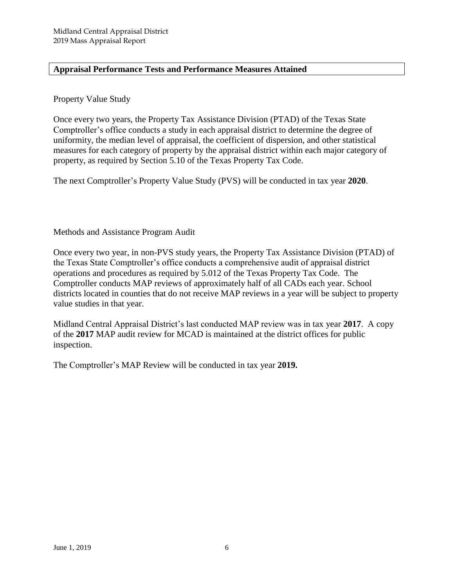# **Appraisal Performance Tests and Performance Measures Attained**

### Property Value Study

Once every two years, the Property Tax Assistance Division (PTAD) of the Texas State Comptroller's office conducts a study in each appraisal district to determine the degree of uniformity, the median level of appraisal, the coefficient of dispersion, and other statistical measures for each category of property by the appraisal district within each major category of property, as required by Section 5.10 of the Texas Property Tax Code.

The next Comptroller's Property Value Study (PVS) will be conducted in tax year **2020**.

Methods and Assistance Program Audit

Once every two year, in non-PVS study years, the Property Tax Assistance Division (PTAD) of the Texas State Comptroller's office conducts a comprehensive audit of appraisal district operations and procedures as required by 5.012 of the Texas Property Tax Code. The Comptroller conducts MAP reviews of approximately half of all CADs each year. School districts located in counties that do not receive MAP reviews in a year will be subject to property value studies in that year.

Midland Central Appraisal District's last conducted MAP review was in tax year **2017**. A copy of the **2017** MAP audit review for MCAD is maintained at the district offices for public inspection.

The Comptroller's MAP Review will be conducted in tax year **2019.**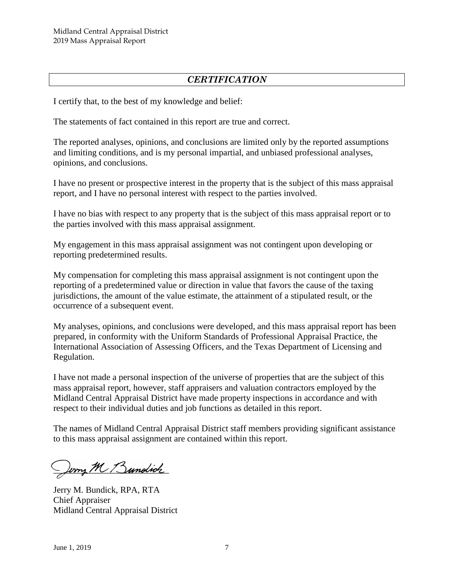# *CERTIFICATION*

I certify that, to the best of my knowledge and belief:

The statements of fact contained in this report are true and correct.

The reported analyses, opinions, and conclusions are limited only by the reported assumptions and limiting conditions, and is my personal impartial, and unbiased professional analyses, opinions, and conclusions.

I have no present or prospective interest in the property that is the subject of this mass appraisal report, and I have no personal interest with respect to the parties involved.

I have no bias with respect to any property that is the subject of this mass appraisal report or to the parties involved with this mass appraisal assignment.

My engagement in this mass appraisal assignment was not contingent upon developing or reporting predetermined results.

My compensation for completing this mass appraisal assignment is not contingent upon the reporting of a predetermined value or direction in value that favors the cause of the taxing jurisdictions, the amount of the value estimate, the attainment of a stipulated result, or the occurrence of a subsequent event.

My analyses, opinions, and conclusions were developed, and this mass appraisal report has been prepared, in conformity with the Uniform Standards of Professional Appraisal Practice, the International Association of Assessing Officers, and the Texas Department of Licensing and Regulation.

I have not made a personal inspection of the universe of properties that are the subject of this mass appraisal report, however, staff appraisers and valuation contractors employed by the Midland Central Appraisal District have made property inspections in accordance and with respect to their individual duties and job functions as detailed in this report.

The names of Midland Central Appraisal District staff members providing significant assistance to this mass appraisal assignment are contained within this report.

Jerry M Bundich

Jerry M. Bundick, RPA, RTA Chief Appraiser Midland Central Appraisal District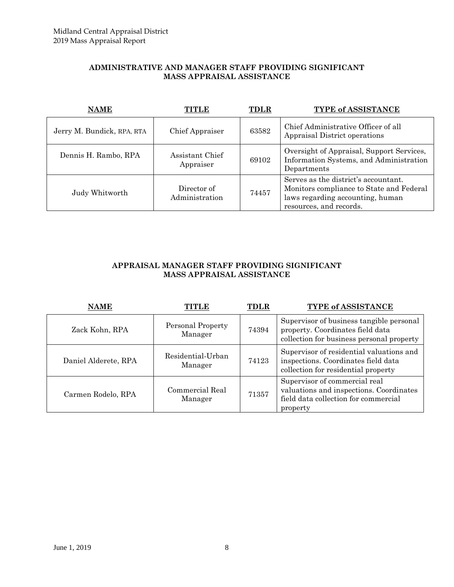#### **ADMINISTRATIVE AND MANAGER STAFF PROVIDING SIGNIFICANT MASS APPRAISAL ASSISTANCE**

| <b>NAME</b>                | NITLE                         | <b>TDLR</b> | <b>TYPE of ASSISTANCE</b>                                                                                                                       |
|----------------------------|-------------------------------|-------------|-------------------------------------------------------------------------------------------------------------------------------------------------|
| Jerry M. Bundick, RPA, RTA | <b>Chief Appraiser</b>        | 63582       | Chief Administrative Officer of all<br>Appraisal District operations                                                                            |
| Dennis H. Rambo, RPA       | Assistant Chief<br>Appraiser  | 69102       | Oversight of Appraisal, Support Services,<br>Information Systems, and Administration<br>Departments                                             |
| Judy Whitworth             | Director of<br>Administration | 74457       | Serves as the district's accountant.<br>Monitors compliance to State and Federal<br>laws regarding accounting, human<br>resources, and records. |

#### **APPRAISAL MANAGER STAFF PROVIDING SIGNIFICANT MASS APPRAISAL ASSISTANCE**

| <b>NAME</b>          | TITLE                        | <b>TDLR</b> | TYPE of ASSISTANCE                                                                                                           |
|----------------------|------------------------------|-------------|------------------------------------------------------------------------------------------------------------------------------|
| Zack Kohn, RPA       | Personal Property<br>Manager | 74394       | Supervisor of business tangible personal<br>property. Coordinates field data<br>collection for business personal property    |
| Daniel Alderete, RPA | Residential-Urban<br>Manager | 74123       | Supervisor of residential valuations and<br>inspections. Coordinates field data<br>collection for residential property       |
| Carmen Rodelo, RPA   | Commercial Real<br>Manager   | 71357       | Supervisor of commercial real<br>valuations and inspections. Coordinates<br>field data collection for commercial<br>property |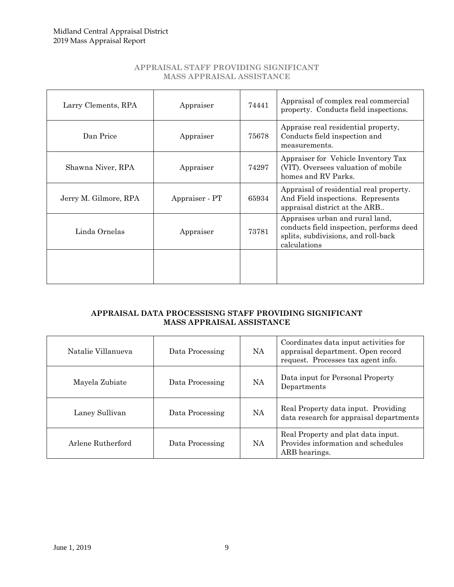#### **APPRAISAL STAFF PROVIDING SIGNIFICANT MASS APPRAISAL ASSISTANCE**

| Larry Clements, RPA   | Appraiser      | 74441 | Appraisal of complex real commercial<br>property. Conducts field inspections.                                                      |
|-----------------------|----------------|-------|------------------------------------------------------------------------------------------------------------------------------------|
| Dan Price             | Appraiser      | 75678 | Appraise real residential property,<br>Conducts field inspection and<br>measurements.                                              |
| Shawna Niver, RPA     | Appraiser      | 74297 | Appraiser for Vehicle Inventory Tax<br>(VIT). Oversees valuation of mobile<br>homes and RV Parks.                                  |
| Jerry M. Gilmore, RPA | Appraiser - PT | 65934 | Appraisal of residential real property.<br>And Field inspections. Represents<br>appraisal district at the ARB                      |
| Linda Ornelas         | Appraiser      | 73781 | Appraises urban and rural land,<br>conducts field inspection, performs deed<br>splits, subdivisions, and roll-back<br>calculations |
|                       |                |       |                                                                                                                                    |

#### **APPRAISAL DATA PROCESSISNG STAFF PROVIDING SIGNIFICANT MASS APPRAISAL ASSISTANCE**

| Natalie Villanueva | Data Processing | <b>NA</b> | Coordinates data input activities for<br>appraisal department. Open record<br>request. Processes tax agent info. |
|--------------------|-----------------|-----------|------------------------------------------------------------------------------------------------------------------|
| Mayela Zubiate     | Data Processing | NA        | Data input for Personal Property<br>Departments                                                                  |
| Laney Sullivan     | Data Processing | <b>NA</b> | Real Property data input. Providing<br>data research for appraisal departments                                   |
| Arlene Rutherford  | Data Processing | NA.       | Real Property and plat data input.<br>Provides information and schedules<br>ARB hearings.                        |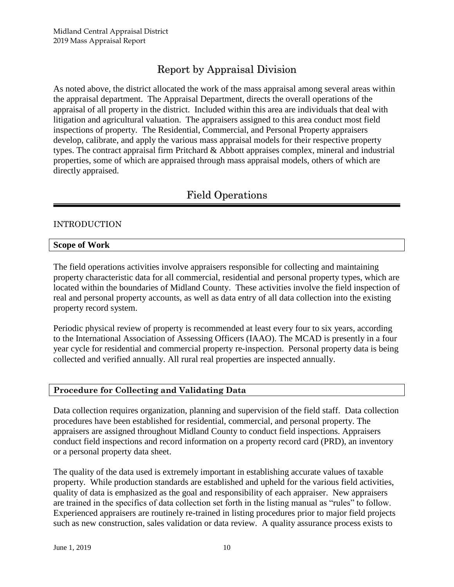# Report by Appraisal Division

As noted above, the district allocated the work of the mass appraisal among several areas within the appraisal department. The Appraisal Department, directs the overall operations of the appraisal of all property in the district. Included within this area are individuals that deal with litigation and agricultural valuation. The appraisers assigned to this area conduct most field inspections of property. The Residential, Commercial, and Personal Property appraisers develop, calibrate, and apply the various mass appraisal models for their respective property types. The contract appraisal firm Pritchard & Abbott appraises complex, mineral and industrial properties, some of which are appraised through mass appraisal models, others of which are directly appraised.

# Field Operations

# INTRODUCTION

#### **Scope of Work**

The field operations activities involve appraisers responsible for collecting and maintaining property characteristic data for all commercial, residential and personal property types, which are located within the boundaries of Midland County. These activities involve the field inspection of real and personal property accounts, as well as data entry of all data collection into the existing property record system.

Periodic physical review of property is recommended at least every four to six years, according to the International Association of Assessing Officers (IAAO). The MCAD is presently in a four year cycle for residential and commercial property re-inspection. Personal property data is being collected and verified annually. All rural real properties are inspected annually.

#### **Procedure for Collecting and Validating Data**

Data collection requires organization, planning and supervision of the field staff. Data collection procedures have been established for residential, commercial, and personal property. The appraisers are assigned throughout Midland County to conduct field inspections. Appraisers conduct field inspections and record information on a property record card (PRD), an inventory or a personal property data sheet.

The quality of the data used is extremely important in establishing accurate values of taxable property. While production standards are established and upheld for the various field activities, quality of data is emphasized as the goal and responsibility of each appraiser. New appraisers are trained in the specifics of data collection set forth in the listing manual as "rules" to follow. Experienced appraisers are routinely re-trained in listing procedures prior to major field projects such as new construction, sales validation or data review. A quality assurance process exists to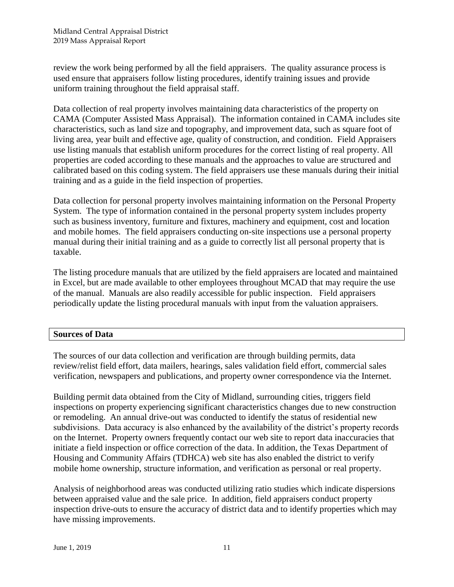review the work being performed by all the field appraisers. The quality assurance process is used ensure that appraisers follow listing procedures, identify training issues and provide uniform training throughout the field appraisal staff.

Data collection of real property involves maintaining data characteristics of the property on CAMA (Computer Assisted Mass Appraisal). The information contained in CAMA includes site characteristics, such as land size and topography, and improvement data, such as square foot of living area, year built and effective age, quality of construction, and condition. Field Appraisers use listing manuals that establish uniform procedures for the correct listing of real property. All properties are coded according to these manuals and the approaches to value are structured and calibrated based on this coding system. The field appraisers use these manuals during their initial training and as a guide in the field inspection of properties.

Data collection for personal property involves maintaining information on the Personal Property System. The type of information contained in the personal property system includes property such as business inventory, furniture and fixtures, machinery and equipment, cost and location and mobile homes. The field appraisers conducting on-site inspections use a personal property manual during their initial training and as a guide to correctly list all personal property that is taxable.

The listing procedure manuals that are utilized by the field appraisers are located and maintained in Excel, but are made available to other employees throughout MCAD that may require the use of the manual. Manuals are also readily accessible for public inspection. Field appraisers periodically update the listing procedural manuals with input from the valuation appraisers.

#### **Sources of Data**

The sources of our data collection and verification are through building permits, data review/relist field effort, data mailers, hearings, sales validation field effort, commercial sales verification, newspapers and publications, and property owner correspondence via the Internet.

Building permit data obtained from the City of Midland, surrounding cities, triggers field inspections on property experiencing significant characteristics changes due to new construction or remodeling. An annual drive-out was conducted to identify the status of residential new subdivisions. Data accuracy is also enhanced by the availability of the district's property records on the Internet. Property owners frequently contact our web site to report data inaccuracies that initiate a field inspection or office correction of the data. In addition, the Texas Department of Housing and Community Affairs (TDHCA) web site has also enabled the district to verify mobile home ownership, structure information, and verification as personal or real property.

Analysis of neighborhood areas was conducted utilizing ratio studies which indicate dispersions between appraised value and the sale price. In addition, field appraisers conduct property inspection drive-outs to ensure the accuracy of district data and to identify properties which may have missing improvements.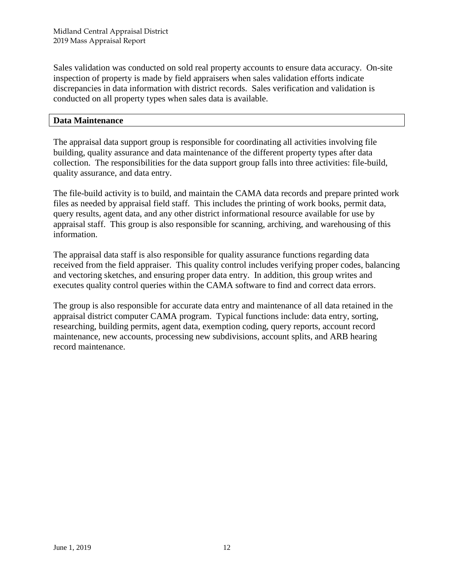Sales validation was conducted on sold real property accounts to ensure data accuracy. On-site inspection of property is made by field appraisers when sales validation efforts indicate discrepancies in data information with district records. Sales verification and validation is conducted on all property types when sales data is available.

#### **Data Maintenance**

The appraisal data support group is responsible for coordinating all activities involving file building, quality assurance and data maintenance of the different property types after data collection. The responsibilities for the data support group falls into three activities: file-build, quality assurance, and data entry.

The file-build activity is to build, and maintain the CAMA data records and prepare printed work files as needed by appraisal field staff. This includes the printing of work books, permit data, query results, agent data, and any other district informational resource available for use by appraisal staff. This group is also responsible for scanning, archiving, and warehousing of this information.

The appraisal data staff is also responsible for quality assurance functions regarding data received from the field appraiser. This quality control includes verifying proper codes, balancing and vectoring sketches, and ensuring proper data entry. In addition, this group writes and executes quality control queries within the CAMA software to find and correct data errors.

The group is also responsible for accurate data entry and maintenance of all data retained in the appraisal district computer CAMA program. Typical functions include: data entry, sorting, researching, building permits, agent data, exemption coding, query reports, account record maintenance, new accounts, processing new subdivisions, account splits, and ARB hearing record maintenance.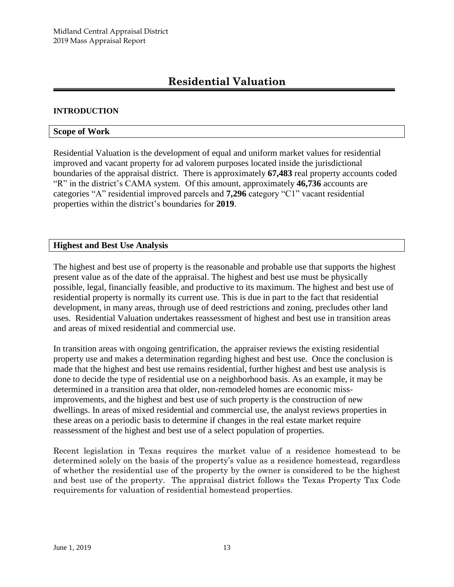# **Residential Valuation**

#### **INTRODUCTION**

#### **Scope of Work**

Residential Valuation is the development of equal and uniform market values for residential improved and vacant property for ad valorem purposes located inside the jurisdictional boundaries of the appraisal district. There is approximately **67,483** real property accounts coded "R" in the district's CAMA system. Of this amount, approximately **46,736** accounts are categories "A" residential improved parcels and **7,296** category "C1" vacant residential properties within the district's boundaries for **2019**.

#### **Highest and Best Use Analysis**

The highest and best use of property is the reasonable and probable use that supports the highest present value as of the date of the appraisal. The highest and best use must be physically possible, legal, financially feasible, and productive to its maximum. The highest and best use of residential property is normally its current use. This is due in part to the fact that residential development, in many areas, through use of deed restrictions and zoning, precludes other land uses. Residential Valuation undertakes reassessment of highest and best use in transition areas and areas of mixed residential and commercial use.

In transition areas with ongoing gentrification, the appraiser reviews the existing residential property use and makes a determination regarding highest and best use. Once the conclusion is made that the highest and best use remains residential, further highest and best use analysis is done to decide the type of residential use on a neighborhood basis. As an example, it may be determined in a transition area that older, non-remodeled homes are economic missimprovements, and the highest and best use of such property is the construction of new dwellings. In areas of mixed residential and commercial use, the analyst reviews properties in these areas on a periodic basis to determine if changes in the real estate market require reassessment of the highest and best use of a select population of properties.

Recent legislation in Texas requires the market value of a residence homestead to be determined solely on the basis of the property's value as a residence homestead, regardless of whether the residential use of the property by the owner is considered to be the highest and best use of the property. The appraisal district follows the Texas Property Tax Code requirements for valuation of residential homestead properties.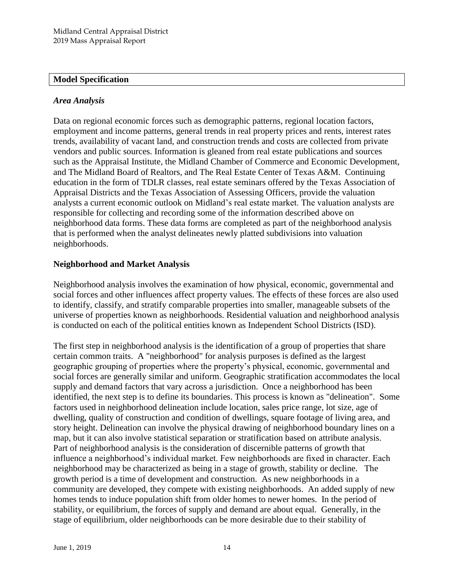#### **Model Specification**

#### *Area Analysis*

Data on regional economic forces such as demographic patterns, regional location factors, employment and income patterns, general trends in real property prices and rents, interest rates trends, availability of vacant land, and construction trends and costs are collected from private vendors and public sources. Information is gleaned from real estate publications and sources such as the Appraisal Institute, the Midland Chamber of Commerce and Economic Development, and The Midland Board of Realtors, and The Real Estate Center of Texas A&M. Continuing education in the form of TDLR classes, real estate seminars offered by the Texas Association of Appraisal Districts and the Texas Association of Assessing Officers, provide the valuation analysts a current economic outlook on Midland's real estate market. The valuation analysts are responsible for collecting and recording some of the information described above on neighborhood data forms. These data forms are completed as part of the neighborhood analysis that is performed when the analyst delineates newly platted subdivisions into valuation neighborhoods.

#### **Neighborhood and Market Analysis**

Neighborhood analysis involves the examination of how physical, economic, governmental and social forces and other influences affect property values. The effects of these forces are also used to identify, classify, and stratify comparable properties into smaller, manageable subsets of the universe of properties known as neighborhoods. Residential valuation and neighborhood analysis is conducted on each of the political entities known as Independent School Districts (ISD).

The first step in neighborhood analysis is the identification of a group of properties that share certain common traits. A "neighborhood" for analysis purposes is defined as the largest geographic grouping of properties where the property's physical, economic, governmental and social forces are generally similar and uniform. Geographic stratification accommodates the local supply and demand factors that vary across a jurisdiction. Once a neighborhood has been identified, the next step is to define its boundaries. This process is known as "delineation". Some factors used in neighborhood delineation include location, sales price range, lot size, age of dwelling, quality of construction and condition of dwellings, square footage of living area, and story height. Delineation can involve the physical drawing of neighborhood boundary lines on a map, but it can also involve statistical separation or stratification based on attribute analysis. Part of neighborhood analysis is the consideration of discernible patterns of growth that influence a neighborhood's individual market. Few neighborhoods are fixed in character. Each neighborhood may be characterized as being in a stage of growth, stability or decline. The growth period is a time of development and construction. As new neighborhoods in a community are developed, they compete with existing neighborhoods. An added supply of new homes tends to induce population shift from older homes to newer homes. In the period of stability, or equilibrium, the forces of supply and demand are about equal. Generally, in the stage of equilibrium, older neighborhoods can be more desirable due to their stability of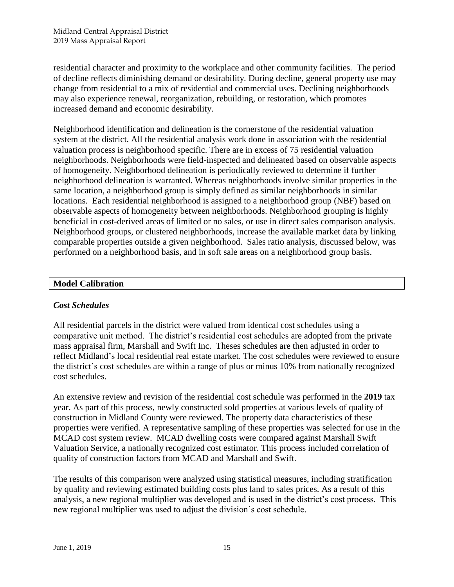residential character and proximity to the workplace and other community facilities. The period of decline reflects diminishing demand or desirability. During decline, general property use may change from residential to a mix of residential and commercial uses. Declining neighborhoods may also experience renewal, reorganization, rebuilding, or restoration, which promotes increased demand and economic desirability.

Neighborhood identification and delineation is the cornerstone of the residential valuation system at the district. All the residential analysis work done in association with the residential valuation process is neighborhood specific. There are in excess of 75 residential valuation neighborhoods. Neighborhoods were field-inspected and delineated based on observable aspects of homogeneity. Neighborhood delineation is periodically reviewed to determine if further neighborhood delineation is warranted. Whereas neighborhoods involve similar properties in the same location, a neighborhood group is simply defined as similar neighborhoods in similar locations. Each residential neighborhood is assigned to a neighborhood group (NBF) based on observable aspects of homogeneity between neighborhoods. Neighborhood grouping is highly beneficial in cost-derived areas of limited or no sales, or use in direct sales comparison analysis. Neighborhood groups, or clustered neighborhoods, increase the available market data by linking comparable properties outside a given neighborhood. Sales ratio analysis, discussed below, was performed on a neighborhood basis, and in soft sale areas on a neighborhood group basis.

# **Model Calibration**

# *Cost Schedules*

All residential parcels in the district were valued from identical cost schedules using a comparative unit method. The district's residential cost schedules are adopted from the private mass appraisal firm, Marshall and Swift Inc. Theses schedules are then adjusted in order to reflect Midland's local residential real estate market. The cost schedules were reviewed to ensure the district's cost schedules are within a range of plus or minus 10% from nationally recognized cost schedules.

An extensive review and revision of the residential cost schedule was performed in the **2019** tax year. As part of this process, newly constructed sold properties at various levels of quality of construction in Midland County were reviewed. The property data characteristics of these properties were verified. A representative sampling of these properties was selected for use in the MCAD cost system review. MCAD dwelling costs were compared against Marshall Swift Valuation Service, a nationally recognized cost estimator. This process included correlation of quality of construction factors from MCAD and Marshall and Swift.

The results of this comparison were analyzed using statistical measures, including stratification by quality and reviewing estimated building costs plus land to sales prices. As a result of this analysis, a new regional multiplier was developed and is used in the district's cost process. This new regional multiplier was used to adjust the division's cost schedule.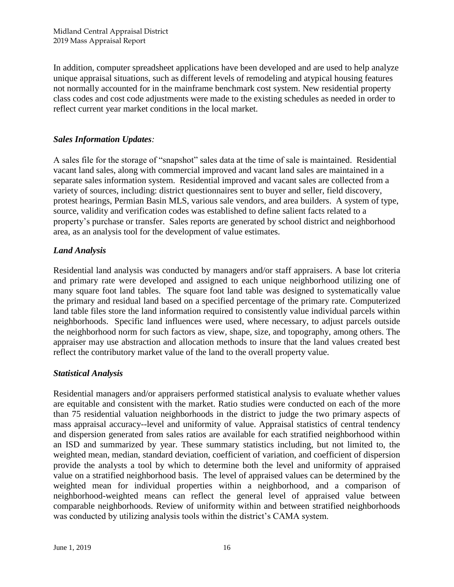In addition, computer spreadsheet applications have been developed and are used to help analyze unique appraisal situations, such as different levels of remodeling and atypical housing features not normally accounted for in the mainframe benchmark cost system. New residential property class codes and cost code adjustments were made to the existing schedules as needed in order to reflect current year market conditions in the local market.

# *Sales Information Updates:*

A sales file for the storage of "snapshot" sales data at the time of sale is maintained. Residential vacant land sales, along with commercial improved and vacant land sales are maintained in a separate sales information system. Residential improved and vacant sales are collected from a variety of sources, including: district questionnaires sent to buyer and seller, field discovery, protest hearings, Permian Basin MLS, various sale vendors, and area builders. A system of type, source, validity and verification codes was established to define salient facts related to a property's purchase or transfer. Sales reports are generated by school district and neighborhood area, as an analysis tool for the development of value estimates.

# *Land Analysis*

Residential land analysis was conducted by managers and/or staff appraisers. A base lot criteria and primary rate were developed and assigned to each unique neighborhood utilizing one of many square foot land tables. The square foot land table was designed to systematically value the primary and residual land based on a specified percentage of the primary rate. Computerized land table files store the land information required to consistently value individual parcels within neighborhoods. Specific land influences were used, where necessary, to adjust parcels outside the neighborhood norm for such factors as view, shape, size, and topography, among others. The appraiser may use abstraction and allocation methods to insure that the land values created best reflect the contributory market value of the land to the overall property value.

# *Statistical Analysis*

Residential managers and/or appraisers performed statistical analysis to evaluate whether values are equitable and consistent with the market. Ratio studies were conducted on each of the more than 75 residential valuation neighborhoods in the district to judge the two primary aspects of mass appraisal accuracy--level and uniformity of value. Appraisal statistics of central tendency and dispersion generated from sales ratios are available for each stratified neighborhood within an ISD and summarized by year. These summary statistics including, but not limited to, the weighted mean, median, standard deviation, coefficient of variation, and coefficient of dispersion provide the analysts a tool by which to determine both the level and uniformity of appraised value on a stratified neighborhood basis. The level of appraised values can be determined by the weighted mean for individual properties within a neighborhood, and a comparison of neighborhood-weighted means can reflect the general level of appraised value between comparable neighborhoods. Review of uniformity within and between stratified neighborhoods was conducted by utilizing analysis tools within the district's CAMA system.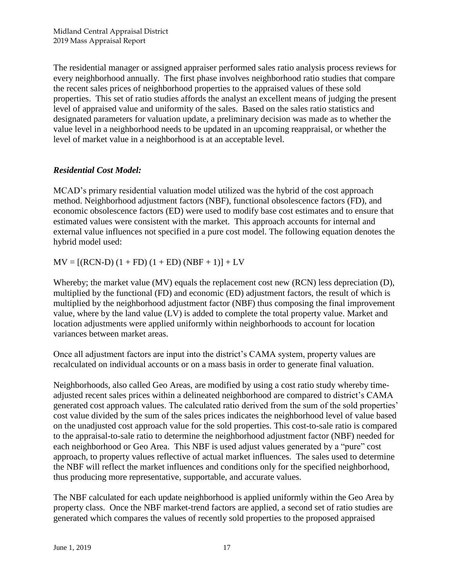The residential manager or assigned appraiser performed sales ratio analysis process reviews for every neighborhood annually. The first phase involves neighborhood ratio studies that compare the recent sales prices of neighborhood properties to the appraised values of these sold properties. This set of ratio studies affords the analyst an excellent means of judging the present level of appraised value and uniformity of the sales. Based on the sales ratio statistics and designated parameters for valuation update, a preliminary decision was made as to whether the value level in a neighborhood needs to be updated in an upcoming reappraisal, or whether the level of market value in a neighborhood is at an acceptable level.

# *Residential Cost Model:*

MCAD's primary residential valuation model utilized was the hybrid of the cost approach method. Neighborhood adjustment factors (NBF), functional obsolescence factors (FD), and economic obsolescence factors (ED) were used to modify base cost estimates and to ensure that estimated values were consistent with the market. This approach accounts for internal and external value influences not specified in a pure cost model. The following equation denotes the hybrid model used:

 $MV = [(RCN-D) (1 + FD) (1 + ED) (NBF + 1)] + LV$ 

Whereby; the market value (MV) equals the replacement cost new (RCN) less depreciation (D), multiplied by the functional (FD) and economic (ED) adjustment factors, the result of which is multiplied by the neighborhood adjustment factor (NBF) thus composing the final improvement value, where by the land value (LV) is added to complete the total property value. Market and location adjustments were applied uniformly within neighborhoods to account for location variances between market areas.

Once all adjustment factors are input into the district's CAMA system, property values are recalculated on individual accounts or on a mass basis in order to generate final valuation.

Neighborhoods, also called Geo Areas, are modified by using a cost ratio study whereby timeadjusted recent sales prices within a delineated neighborhood are compared to district's CAMA generated cost approach values. The calculated ratio derived from the sum of the sold properties' cost value divided by the sum of the sales prices indicates the neighborhood level of value based on the unadjusted cost approach value for the sold properties. This cost-to-sale ratio is compared to the appraisal-to-sale ratio to determine the neighborhood adjustment factor (NBF) needed for each neighborhood or Geo Area. This NBF is used adjust values generated by a "pure" cost approach, to property values reflective of actual market influences. The sales used to determine the NBF will reflect the market influences and conditions only for the specified neighborhood, thus producing more representative, supportable, and accurate values.

The NBF calculated for each update neighborhood is applied uniformly within the Geo Area by property class. Once the NBF market-trend factors are applied, a second set of ratio studies are generated which compares the values of recently sold properties to the proposed appraised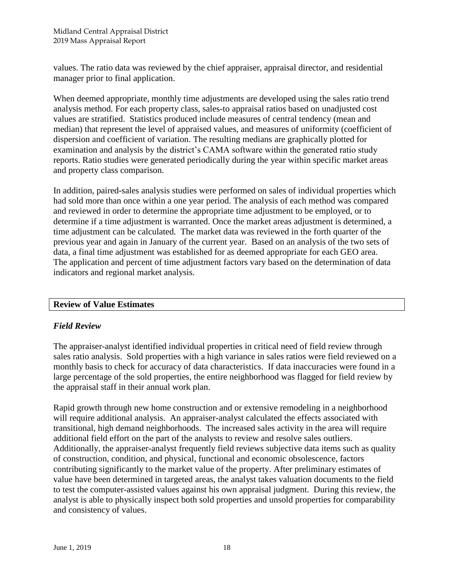values. The ratio data was reviewed by the chief appraiser, appraisal director, and residential manager prior to final application.

When deemed appropriate, monthly time adjustments are developed using the sales ratio trend analysis method. For each property class, sales-to appraisal ratios based on unadjusted cost values are stratified. Statistics produced include measures of central tendency (mean and median) that represent the level of appraised values, and measures of uniformity (coefficient of dispersion and coefficient of variation. The resulting medians are graphically plotted for examination and analysis by the district's CAMA software within the generated ratio study reports. Ratio studies were generated periodically during the year within specific market areas and property class comparison.

In addition, paired-sales analysis studies were performed on sales of individual properties which had sold more than once within a one year period. The analysis of each method was compared and reviewed in order to determine the appropriate time adjustment to be employed, or to determine if a time adjustment is warranted. Once the market areas adjustment is determined, a time adjustment can be calculated. The market data was reviewed in the forth quarter of the previous year and again in January of the current year. Based on an analysis of the two sets of data, a final time adjustment was established for as deemed appropriate for each GEO area. The application and percent of time adjustment factors vary based on the determination of data indicators and regional market analysis.

# **Review of Value Estimates**

#### *Field Review*

The appraiser-analyst identified individual properties in critical need of field review through sales ratio analysis. Sold properties with a high variance in sales ratios were field reviewed on a monthly basis to check for accuracy of data characteristics. If data inaccuracies were found in a large percentage of the sold properties, the entire neighborhood was flagged for field review by the appraisal staff in their annual work plan.

Rapid growth through new home construction and or extensive remodeling in a neighborhood will require additional analysis. An appraiser-analyst calculated the effects associated with transitional, high demand neighborhoods. The increased sales activity in the area will require additional field effort on the part of the analysts to review and resolve sales outliers. Additionally, the appraiser-analyst frequently field reviews subjective data items such as quality of construction, condition, and physical, functional and economic obsolescence, factors contributing significantly to the market value of the property. After preliminary estimates of value have been determined in targeted areas, the analyst takes valuation documents to the field to test the computer-assisted values against his own appraisal judgment. During this review, the analyst is able to physically inspect both sold properties and unsold properties for comparability and consistency of values.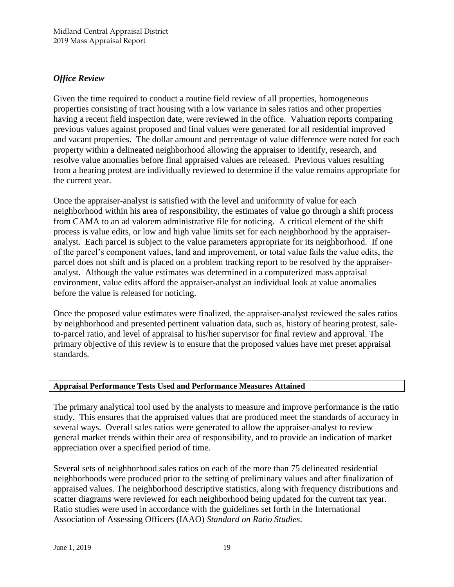# *Office Review*

Given the time required to conduct a routine field review of all properties, homogeneous properties consisting of tract housing with a low variance in sales ratios and other properties having a recent field inspection date, were reviewed in the office. Valuation reports comparing previous values against proposed and final values were generated for all residential improved and vacant properties. The dollar amount and percentage of value difference were noted for each property within a delineated neighborhood allowing the appraiser to identify, research, and resolve value anomalies before final appraised values are released. Previous values resulting from a hearing protest are individually reviewed to determine if the value remains appropriate for the current year.

Once the appraiser-analyst is satisfied with the level and uniformity of value for each neighborhood within his area of responsibility, the estimates of value go through a shift process from CAMA to an ad valorem administrative file for noticing. A critical element of the shift process is value edits, or low and high value limits set for each neighborhood by the appraiseranalyst. Each parcel is subject to the value parameters appropriate for its neighborhood. If one of the parcel's component values, land and improvement, or total value fails the value edits, the parcel does not shift and is placed on a problem tracking report to be resolved by the appraiseranalyst. Although the value estimates was determined in a computerized mass appraisal environment, value edits afford the appraiser-analyst an individual look at value anomalies before the value is released for noticing.

Once the proposed value estimates were finalized, the appraiser-analyst reviewed the sales ratios by neighborhood and presented pertinent valuation data, such as, history of hearing protest, saleto-parcel ratio, and level of appraisal to his/her supervisor for final review and approval. The primary objective of this review is to ensure that the proposed values have met preset appraisal standards.

#### **Appraisal Performance Tests Used and Performance Measures Attained**

The primary analytical tool used by the analysts to measure and improve performance is the ratio study. This ensures that the appraised values that are produced meet the standards of accuracy in several ways. Overall sales ratios were generated to allow the appraiser-analyst to review general market trends within their area of responsibility, and to provide an indication of market appreciation over a specified period of time.

Several sets of neighborhood sales ratios on each of the more than 75 delineated residential neighborhoods were produced prior to the setting of preliminary values and after finalization of appraised values. The neighborhood descriptive statistics, along with frequency distributions and scatter diagrams were reviewed for each neighborhood being updated for the current tax year. Ratio studies were used in accordance with the guidelines set forth in the International Association of Assessing Officers (IAAO) *Standard on Ratio Studies*.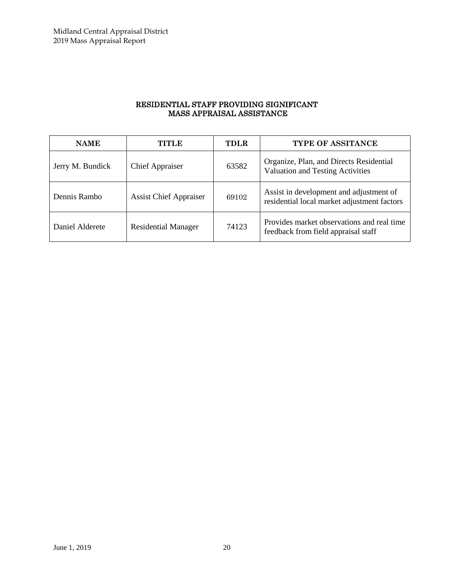#### RESIDENTIAL STAFF PROVIDING SIGNIFICANT MASS APPRAISAL ASSISTANCE

| <b>NAME</b>      | TITLE                         | <b>TDLR</b> | <b>TYPE OF ASSITANCE</b>                                                               |
|------------------|-------------------------------|-------------|----------------------------------------------------------------------------------------|
| Jerry M. Bundick | <b>Chief Appraiser</b>        | 63582       | Organize, Plan, and Directs Residential<br><b>Valuation and Testing Activities</b>     |
| Dennis Rambo     | <b>Assist Chief Appraiser</b> | 69102       | Assist in development and adjustment of<br>residential local market adjustment factors |
| Daniel Alderete  | <b>Residential Manager</b>    | 74123       | Provides market observations and real time<br>feedback from field appraisal staff      |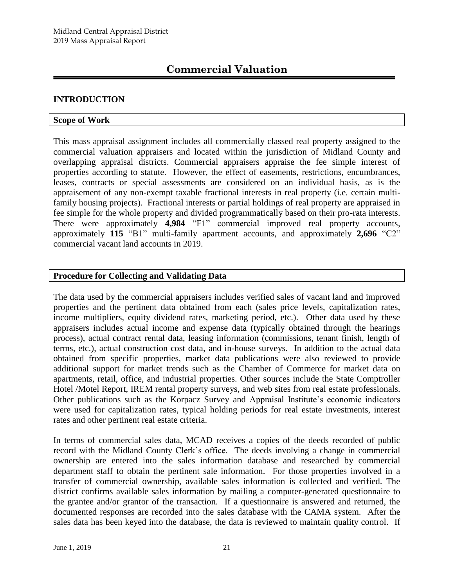# **INTRODUCTION**

#### **Scope of Work**

This mass appraisal assignment includes all commercially classed real property assigned to the commercial valuation appraisers and located within the jurisdiction of Midland County and overlapping appraisal districts. Commercial appraisers appraise the fee simple interest of properties according to statute. However, the effect of easements, restrictions, encumbrances, leases, contracts or special assessments are considered on an individual basis, as is the appraisement of any non-exempt taxable fractional interests in real property (i.e. certain multifamily housing projects). Fractional interests or partial holdings of real property are appraised in fee simple for the whole property and divided programmatically based on their pro-rata interests. There were approximately **4,984** "F1" commercial improved real property accounts, approximately **115** "B1" multi-family apartment accounts, and approximately **2,696** "C2" commercial vacant land accounts in 2019.

# **Procedure for Collecting and Validating Data**

The data used by the commercial appraisers includes verified sales of vacant land and improved properties and the pertinent data obtained from each (sales price levels, capitalization rates, income multipliers, equity dividend rates, marketing period, etc.). Other data used by these appraisers includes actual income and expense data (typically obtained through the hearings process), actual contract rental data, leasing information (commissions, tenant finish, length of terms, etc.), actual construction cost data, and in-house surveys. In addition to the actual data obtained from specific properties, market data publications were also reviewed to provide additional support for market trends such as the Chamber of Commerce for market data on apartments, retail, office, and industrial properties. Other sources include the State Comptroller Hotel /Motel Report, IREM rental property surveys, and web sites from real estate professionals. Other publications such as the Korpacz Survey and Appraisal Institute's economic indicators were used for capitalization rates, typical holding periods for real estate investments, interest rates and other pertinent real estate criteria.

In terms of commercial sales data, MCAD receives a copies of the deeds recorded of public record with the Midland County Clerk's office. The deeds involving a change in commercial ownership are entered into the sales information database and researched by commercial department staff to obtain the pertinent sale information. For those properties involved in a transfer of commercial ownership, available sales information is collected and verified. The district confirms available sales information by mailing a computer-generated questionnaire to the grantee and/or grantor of the transaction. If a questionnaire is answered and returned, the documented responses are recorded into the sales database with the CAMA system. After the sales data has been keyed into the database, the data is reviewed to maintain quality control. If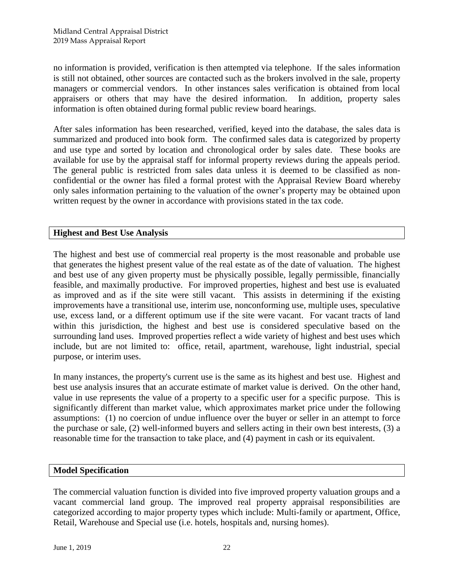no information is provided, verification is then attempted via telephone. If the sales information is still not obtained, other sources are contacted such as the brokers involved in the sale, property managers or commercial vendors. In other instances sales verification is obtained from local appraisers or others that may have the desired information. In addition, property sales information is often obtained during formal public review board hearings.

After sales information has been researched, verified, keyed into the database, the sales data is summarized and produced into book form. The confirmed sales data is categorized by property and use type and sorted by location and chronological order by sales date. These books are available for use by the appraisal staff for informal property reviews during the appeals period. The general public is restricted from sales data unless it is deemed to be classified as nonconfidential or the owner has filed a formal protest with the Appraisal Review Board whereby only sales information pertaining to the valuation of the owner's property may be obtained upon written request by the owner in accordance with provisions stated in the tax code.

# **Highest and Best Use Analysis**

The highest and best use of commercial real property is the most reasonable and probable use that generates the highest present value of the real estate as of the date of valuation. The highest and best use of any given property must be physically possible, legally permissible, financially feasible, and maximally productive. For improved properties, highest and best use is evaluated as improved and as if the site were still vacant. This assists in determining if the existing improvements have a transitional use, interim use, nonconforming use, multiple uses, speculative use, excess land, or a different optimum use if the site were vacant. For vacant tracts of land within this jurisdiction, the highest and best use is considered speculative based on the surrounding land uses. Improved properties reflect a wide variety of highest and best uses which include, but are not limited to: office, retail, apartment, warehouse, light industrial, special purpose, or interim uses.

In many instances, the property's current use is the same as its highest and best use. Highest and best use analysis insures that an accurate estimate of market value is derived. On the other hand, value in use represents the value of a property to a specific user for a specific purpose. This is significantly different than market value, which approximates market price under the following assumptions: (1) no coercion of undue influence over the buyer or seller in an attempt to force the purchase or sale, (2) well-informed buyers and sellers acting in their own best interests, (3) a reasonable time for the transaction to take place, and (4) payment in cash or its equivalent.

#### **Model Specification**

The commercial valuation function is divided into five improved property valuation groups and a vacant commercial land group. The improved real property appraisal responsibilities are categorized according to major property types which include: Multi-family or apartment, Office, Retail, Warehouse and Special use (i.e. hotels, hospitals and, nursing homes).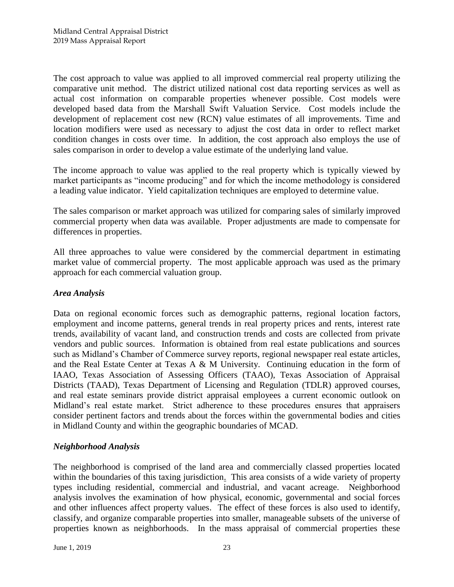The cost approach to value was applied to all improved commercial real property utilizing the comparative unit method. The district utilized national cost data reporting services as well as actual cost information on comparable properties whenever possible. Cost models were developed based data from the Marshall Swift Valuation Service. Cost models include the development of replacement cost new (RCN) value estimates of all improvements. Time and location modifiers were used as necessary to adjust the cost data in order to reflect market condition changes in costs over time. In addition, the cost approach also employs the use of sales comparison in order to develop a value estimate of the underlying land value.

The income approach to value was applied to the real property which is typically viewed by market participants as "income producing" and for which the income methodology is considered a leading value indicator. Yield capitalization techniques are employed to determine value.

The sales comparison or market approach was utilized for comparing sales of similarly improved commercial property when data was available. Proper adjustments are made to compensate for differences in properties.

All three approaches to value were considered by the commercial department in estimating market value of commercial property. The most applicable approach was used as the primary approach for each commercial valuation group.

# *Area Analysis*

Data on regional economic forces such as demographic patterns, regional location factors, employment and income patterns, general trends in real property prices and rents, interest rate trends, availability of vacant land, and construction trends and costs are collected from private vendors and public sources. Information is obtained from real estate publications and sources such as Midland's Chamber of Commerce survey reports, regional newspaper real estate articles, and the Real Estate Center at Texas A & M University. Continuing education in the form of IAAO, Texas Association of Assessing Officers (TAAO), Texas Association of Appraisal Districts (TAAD), Texas Department of Licensing and Regulation (TDLR) approved courses, and real estate seminars provide district appraisal employees a current economic outlook on Midland's real estate market. Strict adherence to these procedures ensures that appraisers consider pertinent factors and trends about the forces within the governmental bodies and cities in Midland County and within the geographic boundaries of MCAD.

# *Neighborhood Analysis*

The neighborhood is comprised of the land area and commercially classed properties located within the boundaries of this taxing jurisdiction. This area consists of a wide variety of property types including residential, commercial and industrial, and vacant acreage. Neighborhood analysis involves the examination of how physical, economic, governmental and social forces and other influences affect property values. The effect of these forces is also used to identify, classify, and organize comparable properties into smaller, manageable subsets of the universe of properties known as neighborhoods. In the mass appraisal of commercial properties these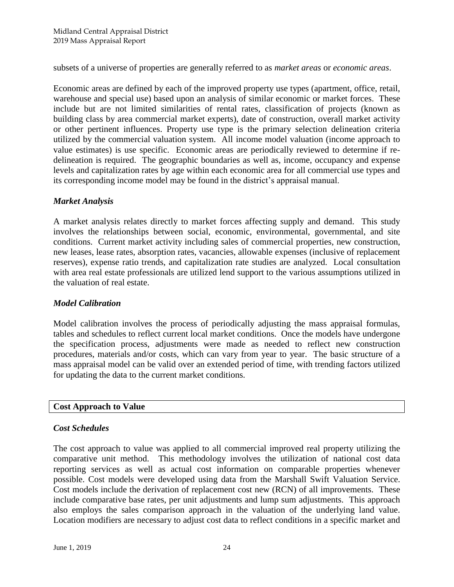subsets of a universe of properties are generally referred to as *market areas* or *economic areas*.

Economic areas are defined by each of the improved property use types (apartment, office, retail, warehouse and special use) based upon an analysis of similar economic or market forces. These include but are not limited similarities of rental rates, classification of projects (known as building class by area commercial market experts), date of construction, overall market activity or other pertinent influences. Property use type is the primary selection delineation criteria utilized by the commercial valuation system. All income model valuation (income approach to value estimates) is use specific. Economic areas are periodically reviewed to determine if redelineation is required. The geographic boundaries as well as, income, occupancy and expense levels and capitalization rates by age within each economic area for all commercial use types and its corresponding income model may be found in the district's appraisal manual.

# *Market Analysis*

A market analysis relates directly to market forces affecting supply and demand. This study involves the relationships between social, economic, environmental, governmental, and site conditions. Current market activity including sales of commercial properties, new construction, new leases, lease rates, absorption rates, vacancies, allowable expenses (inclusive of replacement reserves), expense ratio trends, and capitalization rate studies are analyzed. Local consultation with area real estate professionals are utilized lend support to the various assumptions utilized in the valuation of real estate.

#### *Model Calibration*

Model calibration involves the process of periodically adjusting the mass appraisal formulas, tables and schedules to reflect current local market conditions. Once the models have undergone the specification process, adjustments were made as needed to reflect new construction procedures, materials and/or costs, which can vary from year to year. The basic structure of a mass appraisal model can be valid over an extended period of time, with trending factors utilized for updating the data to the current market conditions.

#### **Cost Approach to Value**

# *Cost Schedules*

The cost approach to value was applied to all commercial improved real property utilizing the comparative unit method. This methodology involves the utilization of national cost data reporting services as well as actual cost information on comparable properties whenever possible. Cost models were developed using data from the Marshall Swift Valuation Service. Cost models include the derivation of replacement cost new (RCN) of all improvements. These include comparative base rates, per unit adjustments and lump sum adjustments. This approach also employs the sales comparison approach in the valuation of the underlying land value. Location modifiers are necessary to adjust cost data to reflect conditions in a specific market and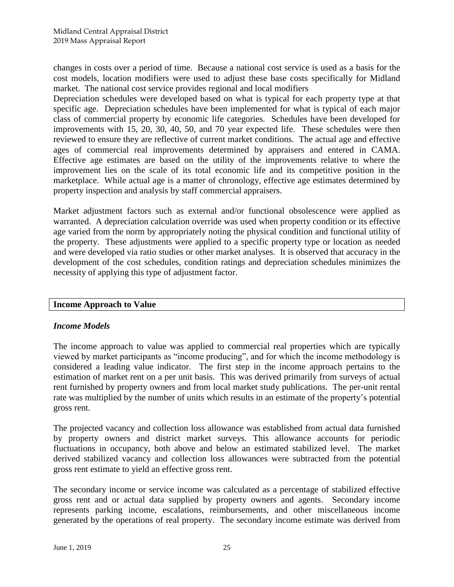changes in costs over a period of time. Because a national cost service is used as a basis for the cost models, location modifiers were used to adjust these base costs specifically for Midland market. The national cost service provides regional and local modifiers

Depreciation schedules were developed based on what is typical for each property type at that specific age. Depreciation schedules have been implemented for what is typical of each major class of commercial property by economic life categories. Schedules have been developed for improvements with 15, 20, 30, 40, 50, and 70 year expected life. These schedules were then reviewed to ensure they are reflective of current market conditions. The actual age and effective ages of commercial real improvements determined by appraisers and entered in CAMA. Effective age estimates are based on the utility of the improvements relative to where the improvement lies on the scale of its total economic life and its competitive position in the marketplace. While actual age is a matter of chronology, effective age estimates determined by property inspection and analysis by staff commercial appraisers.

Market adjustment factors such as external and/or functional obsolescence were applied as warranted. A depreciation calculation override was used when property condition or its effective age varied from the norm by appropriately noting the physical condition and functional utility of the property. These adjustments were applied to a specific property type or location as needed and were developed via ratio studies or other market analyses. It is observed that accuracy in the development of the cost schedules, condition ratings and depreciation schedules minimizes the necessity of applying this type of adjustment factor.

# **Income Approach to Value**

#### *Income Models*

The income approach to value was applied to commercial real properties which are typically viewed by market participants as "income producing", and for which the income methodology is considered a leading value indicator. The first step in the income approach pertains to the estimation of market rent on a per unit basis. This was derived primarily from surveys of actual rent furnished by property owners and from local market study publications. The per-unit rental rate was multiplied by the number of units which results in an estimate of the property's potential gross rent.

The projected vacancy and collection loss allowance was established from actual data furnished by property owners and district market surveys. This allowance accounts for periodic fluctuations in occupancy, both above and below an estimated stabilized level. The market derived stabilized vacancy and collection loss allowances were subtracted from the potential gross rent estimate to yield an effective gross rent.

The secondary income or service income was calculated as a percentage of stabilized effective gross rent and or actual data supplied by property owners and agents. Secondary income represents parking income, escalations, reimbursements, and other miscellaneous income generated by the operations of real property. The secondary income estimate was derived from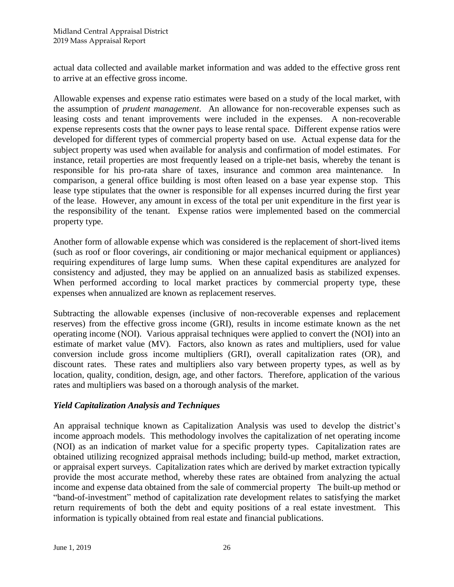actual data collected and available market information and was added to the effective gross rent to arrive at an effective gross income.

Allowable expenses and expense ratio estimates were based on a study of the local market, with the assumption of *prudent management*. An allowance for non-recoverable expenses such as leasing costs and tenant improvements were included in the expenses. A non-recoverable expense represents costs that the owner pays to lease rental space. Different expense ratios were developed for different types of commercial property based on use. Actual expense data for the subject property was used when available for analysis and confirmation of model estimates. For instance, retail properties are most frequently leased on a triple-net basis, whereby the tenant is responsible for his pro-rata share of taxes, insurance and common area maintenance. In comparison, a general office building is most often leased on a base year expense stop. This lease type stipulates that the owner is responsible for all expenses incurred during the first year of the lease. However, any amount in excess of the total per unit expenditure in the first year is the responsibility of the tenant. Expense ratios were implemented based on the commercial property type.

Another form of allowable expense which was considered is the replacement of short-lived items (such as roof or floor coverings, air conditioning or major mechanical equipment or appliances) requiring expenditures of large lump sums. When these capital expenditures are analyzed for consistency and adjusted, they may be applied on an annualized basis as stabilized expenses. When performed according to local market practices by commercial property type, these expenses when annualized are known as replacement reserves.

Subtracting the allowable expenses (inclusive of non-recoverable expenses and replacement reserves) from the effective gross income (GRI), results in income estimate known as the net operating income (NOI). Various appraisal techniques were applied to convert the (NOI) into an estimate of market value (MV). Factors, also known as rates and multipliers, used for value conversion include gross income multipliers (GRI), overall capitalization rates (OR), and discount rates. These rates and multipliers also vary between property types, as well as by location, quality, condition, design, age, and other factors. Therefore, application of the various rates and multipliers was based on a thorough analysis of the market.

# *Yield Capitalization Analysis and Techniques*

An appraisal technique known as Capitalization Analysis was used to develop the district's income approach models. This methodology involves the capitalization of net operating income (NOI) as an indication of market value for a specific property types. Capitalization rates are obtained utilizing recognized appraisal methods including; build-up method, market extraction, or appraisal expert surveys. Capitalization rates which are derived by market extraction typically provide the most accurate method, whereby these rates are obtained from analyzing the actual income and expense data obtained from the sale of commercial property The built-up method or "band-of-investment" method of capitalization rate development relates to satisfying the market return requirements of both the debt and equity positions of a real estate investment. This information is typically obtained from real estate and financial publications.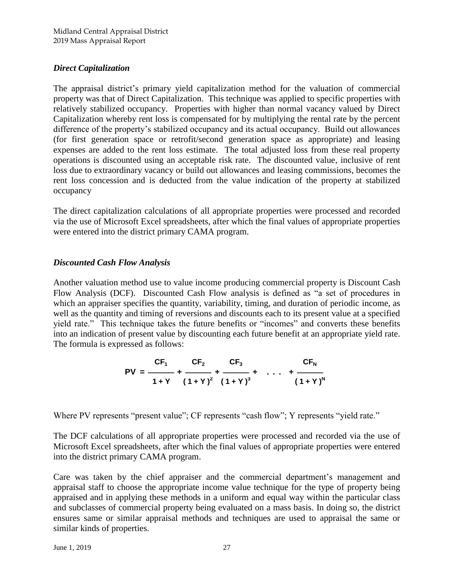# *Direct Capitalization*

The appraisal district's primary yield capitalization method for the valuation of commercial property was that of Direct Capitalization. This technique was applied to specific properties with relatively stabilized occupancy. Properties with higher than normal vacancy valued by Direct Capitalization whereby rent loss is compensated for by multiplying the rental rate by the percent difference of the property's stabilized occupancy and its actual occupancy. Build out allowances (for first generation space or retrofit/second generation space as appropriate) and leasing expenses are added to the rent loss estimate. The total adjusted loss from these real property operations is discounted using an acceptable risk rate. The discounted value, inclusive of rent loss due to extraordinary vacancy or build out allowances and leasing commissions, becomes the rent loss concession and is deducted from the value indication of the property at stabilized occupancy

The direct capitalization calculations of all appropriate properties were processed and recorded via the use of Microsoft Excel spreadsheets, after which the final values of appropriate properties were entered into the district primary CAMA program.

# *Discounted Cash Flow Analysis*

Another valuation method use to value income producing commercial property is Discount Cash Flow Analysis (DCF). Discounted Cash Flow analysis is defined as "a set of procedures in which an appraiser specifies the quantity, variability, timing, and duration of periodic income, as well as the quantity and timing of reversions and discounts each to its present value at a specified yield rate." This technique takes the future benefits or "incomes" and converts these benefits into an indication of present value by discounting each future benefit at an appropriate yield rate. The formula is expressed as follows:

PV = 
$$
\frac{CF_1}{1+Y} + \frac{CF_2}{(1+Y)^2} + \frac{CF_3}{(1+Y)^3} + \dots + \frac{CF_N}{(1+Y)^N}
$$

Where PV represents "present value"; CF represents "cash flow"; Y represents "yield rate."

The DCF calculations of all appropriate properties were processed and recorded via the use of Microsoft Excel spreadsheets, after which the final values of appropriate properties were entered into the district primary CAMA program.

Care was taken by the chief appraiser and the commercial department's management and appraisal staff to choose the appropriate income value technique for the type of property being appraised and in applying these methods in a uniform and equal way within the particular class and subclasses of commercial property being evaluated on a mass basis. In doing so, the district ensures same or similar appraisal methods and techniques are used to appraisal the same or similar kinds of properties.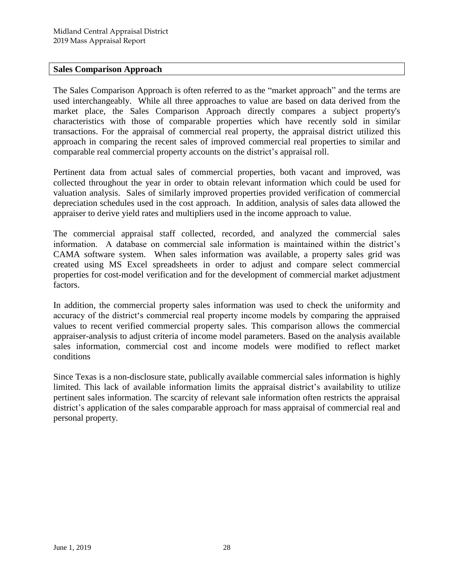# **Sales Comparison Approach**

The Sales Comparison Approach is often referred to as the "market approach" and the terms are used interchangeably. While all three approaches to value are based on data derived from the market place, the Sales Comparison Approach directly compares a subject property's characteristics with those of comparable properties which have recently sold in similar transactions. For the appraisal of commercial real property, the appraisal district utilized this approach in comparing the recent sales of improved commercial real properties to similar and comparable real commercial property accounts on the district's appraisal roll.

Pertinent data from actual sales of commercial properties, both vacant and improved, was collected throughout the year in order to obtain relevant information which could be used for valuation analysis. Sales of similarly improved properties provided verification of commercial depreciation schedules used in the cost approach. In addition, analysis of sales data allowed the appraiser to derive yield rates and multipliers used in the income approach to value.

The commercial appraisal staff collected, recorded, and analyzed the commercial sales information. A database on commercial sale information is maintained within the district's CAMA software system. When sales information was available, a property sales grid was created using MS Excel spreadsheets in order to adjust and compare select commercial properties for cost-model verification and for the development of commercial market adjustment factors.

In addition, the commercial property sales information was used to check the uniformity and accuracy of the district's commercial real property income models by comparing the appraised values to recent verified commercial property sales. This comparison allows the commercial appraiser-analysis to adjust criteria of income model parameters. Based on the analysis available sales information, commercial cost and income models were modified to reflect market conditions

Since Texas is a non-disclosure state, publically available commercial sales information is highly limited. This lack of available information limits the appraisal district's availability to utilize pertinent sales information. The scarcity of relevant sale information often restricts the appraisal district's application of the sales comparable approach for mass appraisal of commercial real and personal property.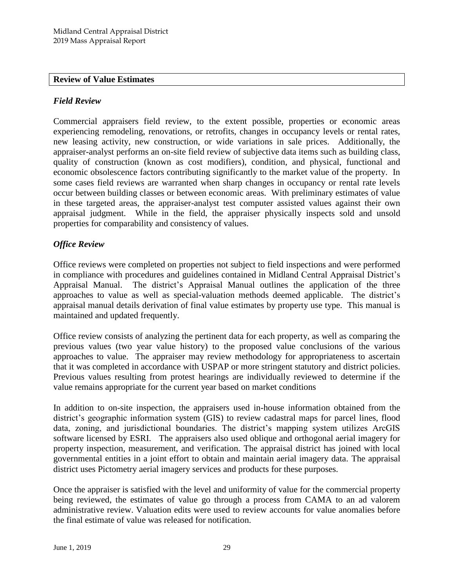#### **Review of Value Estimates**

### *Field Review*

Commercial appraisers field review, to the extent possible, properties or economic areas experiencing remodeling, renovations, or retrofits, changes in occupancy levels or rental rates, new leasing activity, new construction, or wide variations in sale prices. Additionally, the appraiser-analyst performs an on-site field review of subjective data items such as building class, quality of construction (known as cost modifiers), condition, and physical, functional and economic obsolescence factors contributing significantly to the market value of the property. In some cases field reviews are warranted when sharp changes in occupancy or rental rate levels occur between building classes or between economic areas. With preliminary estimates of value in these targeted areas, the appraiser-analyst test computer assisted values against their own appraisal judgment. While in the field, the appraiser physically inspects sold and unsold properties for comparability and consistency of values.

# *Office Review*

Office reviews were completed on properties not subject to field inspections and were performed in compliance with procedures and guidelines contained in Midland Central Appraisal District's Appraisal Manual. The district's Appraisal Manual outlines the application of the three approaches to value as well as special-valuation methods deemed applicable. The district's appraisal manual details derivation of final value estimates by property use type. This manual is maintained and updated frequently.

Office review consists of analyzing the pertinent data for each property, as well as comparing the previous values (two year value history) to the proposed value conclusions of the various approaches to value. The appraiser may review methodology for appropriateness to ascertain that it was completed in accordance with USPAP or more stringent statutory and district policies. Previous values resulting from protest hearings are individually reviewed to determine if the value remains appropriate for the current year based on market conditions

In addition to on-site inspection, the appraisers used in-house information obtained from the district's geographic information system (GIS) to review cadastral maps for parcel lines, flood data, zoning, and jurisdictional boundaries. The district's mapping system utilizes ArcGIS software licensed by ESRI. The appraisers also used oblique and orthogonal aerial imagery for property inspection, measurement, and verification. The appraisal district has joined with local governmental entities in a joint effort to obtain and maintain aerial imagery data. The appraisal district uses Pictometry aerial imagery services and products for these purposes.

Once the appraiser is satisfied with the level and uniformity of value for the commercial property being reviewed, the estimates of value go through a process from CAMA to an ad valorem administrative review. Valuation edits were used to review accounts for value anomalies before the final estimate of value was released for notification.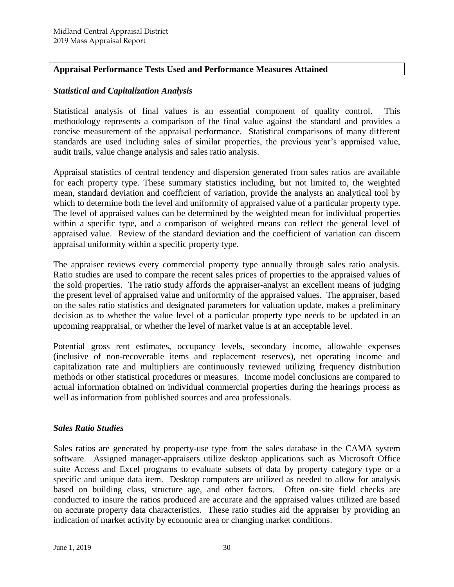# **Appraisal Performance Tests Used and Performance Measures Attained**

#### *Statistical and Capitalization Analysis*

Statistical analysis of final values is an essential component of quality control. This methodology represents a comparison of the final value against the standard and provides a concise measurement of the appraisal performance. Statistical comparisons of many different standards are used including sales of similar properties, the previous year's appraised value, audit trails, value change analysis and sales ratio analysis.

Appraisal statistics of central tendency and dispersion generated from sales ratios are available for each property type. These summary statistics including, but not limited to, the weighted mean, standard deviation and coefficient of variation, provide the analysts an analytical tool by which to determine both the level and uniformity of appraised value of a particular property type. The level of appraised values can be determined by the weighted mean for individual properties within a specific type, and a comparison of weighted means can reflect the general level of appraised value. Review of the standard deviation and the coefficient of variation can discern appraisal uniformity within a specific property type.

The appraiser reviews every commercial property type annually through sales ratio analysis. Ratio studies are used to compare the recent sales prices of properties to the appraised values of the sold properties. The ratio study affords the appraiser-analyst an excellent means of judging the present level of appraised value and uniformity of the appraised values. The appraiser, based on the sales ratio statistics and designated parameters for valuation update, makes a preliminary decision as to whether the value level of a particular property type needs to be updated in an upcoming reappraisal, or whether the level of market value is at an acceptable level.

Potential gross rent estimates, occupancy levels, secondary income, allowable expenses (inclusive of non-recoverable items and replacement reserves), net operating income and capitalization rate and multipliers are continuously reviewed utilizing frequency distribution methods or other statistical procedures or measures. Income model conclusions are compared to actual information obtained on individual commercial properties during the hearings process as well as information from published sources and area professionals.

#### *Sales Ratio Studies*

Sales ratios are generated by property-use type from the sales database in the CAMA system software. Assigned manager-appraisers utilize desktop applications such as Microsoft Office suite Access and Excel programs to evaluate subsets of data by property category type or a specific and unique data item. Desktop computers are utilized as needed to allow for analysis based on building class, structure age, and other factors. Often on-site field checks are conducted to insure the ratios produced are accurate and the appraised values utilized are based on accurate property data characteristics. These ratio studies aid the appraiser by providing an indication of market activity by economic area or changing market conditions.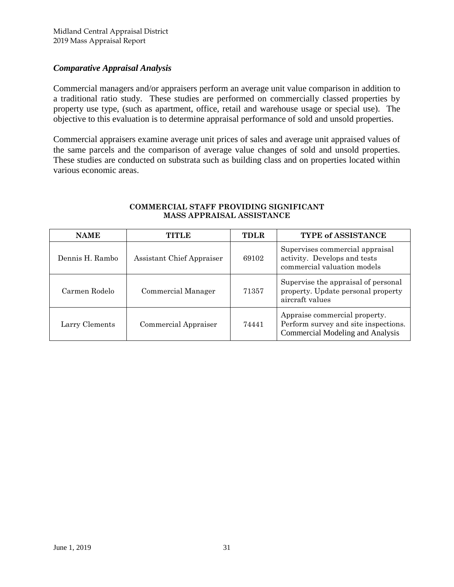# *Comparative Appraisal Analysis*

Commercial managers and/or appraisers perform an average unit value comparison in addition to a traditional ratio study. These studies are performed on commercially classed properties by property use type, (such as apartment, office, retail and warehouse usage or special use). The objective to this evaluation is to determine appraisal performance of sold and unsold properties.

Commercial appraisers examine average unit prices of sales and average unit appraised values of the same parcels and the comparison of average value changes of sold and unsold properties. These studies are conducted on substrata such as building class and on properties located within various economic areas.

| <b>NAME</b>     | TITLE.                    | <b>TDLR</b> | TYPE of ASSISTANCE                                                                                               |
|-----------------|---------------------------|-------------|------------------------------------------------------------------------------------------------------------------|
| Dennis H. Rambo | Assistant Chief Appraiser | 69102       | Supervises commercial appraisal<br>activity. Develops and tests<br>commercial valuation models                   |
| Carmen Rodelo   | Commercial Manager        | 71357       | Supervise the appraisal of personal<br>property. Update personal property<br>aircraft values                     |
| Larry Clements  | Commercial Appraiser      | 74441       | Appraise commercial property.<br>Perform survey and site inspections.<br><b>Commercial Modeling and Analysis</b> |

#### **COMMERCIAL STAFF PROVIDING SIGNIFICANT MASS APPRAISAL ASSISTANCE**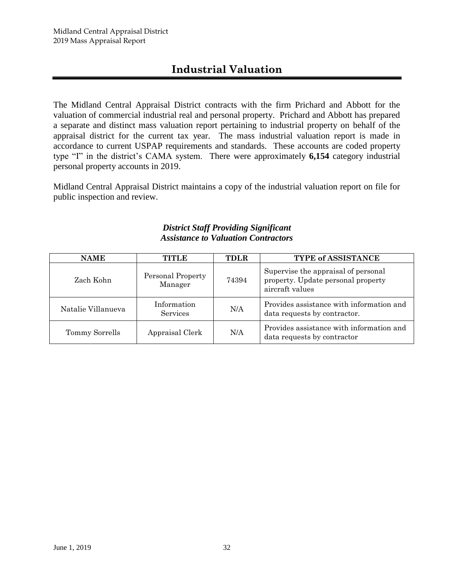# **Industrial Valuation**

The Midland Central Appraisal District contracts with the firm Prichard and Abbott for the valuation of commercial industrial real and personal property. Prichard and Abbott has prepared a separate and distinct mass valuation report pertaining to industrial property on behalf of the appraisal district for the current tax year. The mass industrial valuation report is made in accordance to current USPAP requirements and standards. These accounts are coded property type "I" in the district's CAMA system. There were approximately **6,154** category industrial personal property accounts in 2019.

Midland Central Appraisal District maintains a copy of the industrial valuation report on file for public inspection and review.

# *District Staff Providing Significant Assistance to Valuation Contractors*

| <b>NAME</b>        | TITLE                        | <b>TDLR</b> | <b>TYPE of ASSISTANCE</b>                                                                    |
|--------------------|------------------------------|-------------|----------------------------------------------------------------------------------------------|
| Zach Kohn          | Personal Property<br>Manager | 74394       | Supervise the appraisal of personal<br>property. Update personal property<br>aircraft values |
| Natalie Villanueva | Information<br>Services      | N/A         | Provides assistance with information and<br>data requests by contractor.                     |
| Tommy Sorrells     | Appraisal Clerk              | N/A         | Provides assistance with information and<br>data requests by contractor                      |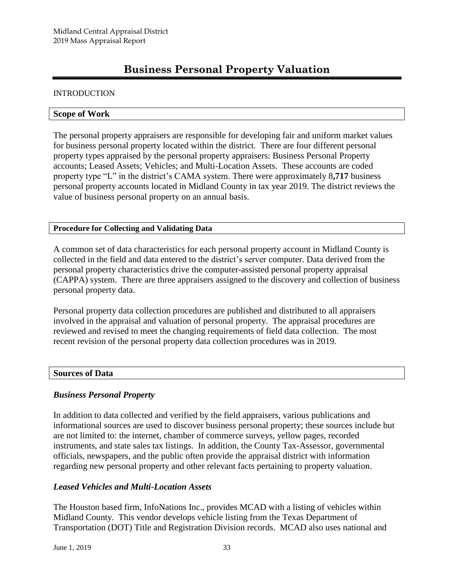# **Business Personal Property Valuation**

#### **INTRODUCTION**

#### **Scope of Work**

The personal property appraisers are responsible for developing fair and uniform market values for business personal property located within the district. There are four different personal property types appraised by the personal property appraisers: Business Personal Property accounts; Leased Assets; Vehicles; and Multi-Location Assets. These accounts are coded property type "L" in the district's CAMA system. There were approximately 8**,717** business personal property accounts located in Midland County in tax year 2019. The district reviews the value of business personal property on an annual basis.

#### **Procedure for Collecting and Validating Data**

A common set of data characteristics for each personal property account in Midland County is collected in the field and data entered to the district's server computer. Data derived from the personal property characteristics drive the computer-assisted personal property appraisal (CAPPA) system. There are three appraisers assigned to the discovery and collection of business personal property data.

Personal property data collection procedures are published and distributed to all appraisers involved in the appraisal and valuation of personal property. The appraisal procedures are reviewed and revised to meet the changing requirements of field data collection. The most recent revision of the personal property data collection procedures was in 2019.

#### **Sources of Data**

#### *Business Personal Property*

In addition to data collected and verified by the field appraisers, various publications and informational sources are used to discover business personal property; these sources include but are not limited to: the internet, chamber of commerce surveys, yellow pages, recorded instruments, and state sales tax listings. In addition, the County Tax-Assessor, governmental officials, newspapers, and the public often provide the appraisal district with information regarding new personal property and other relevant facts pertaining to property valuation.

#### *Leased Vehicles and Multi-Location Assets*

The Houston based firm, InfoNations Inc., provides MCAD with a listing of vehicles within Midland County. This vendor develops vehicle listing from the Texas Department of Transportation (DOT) Title and Registration Division records. MCAD also uses national and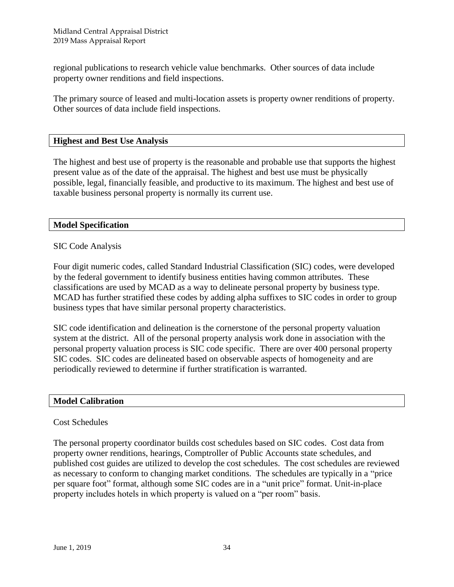regional publications to research vehicle value benchmarks. Other sources of data include property owner renditions and field inspections.

The primary source of leased and multi-location assets is property owner renditions of property. Other sources of data include field inspections.

#### **Highest and Best Use Analysis**

The highest and best use of property is the reasonable and probable use that supports the highest present value as of the date of the appraisal. The highest and best use must be physically possible, legal, financially feasible, and productive to its maximum. The highest and best use of taxable business personal property is normally its current use.

#### **Model Specification**

#### SIC Code Analysis

Four digit numeric codes, called Standard Industrial Classification (SIC) codes, were developed by the federal government to identify business entities having common attributes. These classifications are used by MCAD as a way to delineate personal property by business type. MCAD has further stratified these codes by adding alpha suffixes to SIC codes in order to group business types that have similar personal property characteristics.

SIC code identification and delineation is the cornerstone of the personal property valuation system at the district. All of the personal property analysis work done in association with the personal property valuation process is SIC code specific. There are over 400 personal property SIC codes. SIC codes are delineated based on observable aspects of homogeneity and are periodically reviewed to determine if further stratification is warranted.

#### **Model Calibration**

#### Cost Schedules

The personal property coordinator builds cost schedules based on SIC codes. Cost data from property owner renditions, hearings, Comptroller of Public Accounts state schedules, and published cost guides are utilized to develop the cost schedules. The cost schedules are reviewed as necessary to conform to changing market conditions. The schedules are typically in a "price per square foot" format, although some SIC codes are in a "unit price" format. Unit-in-place property includes hotels in which property is valued on a "per room" basis.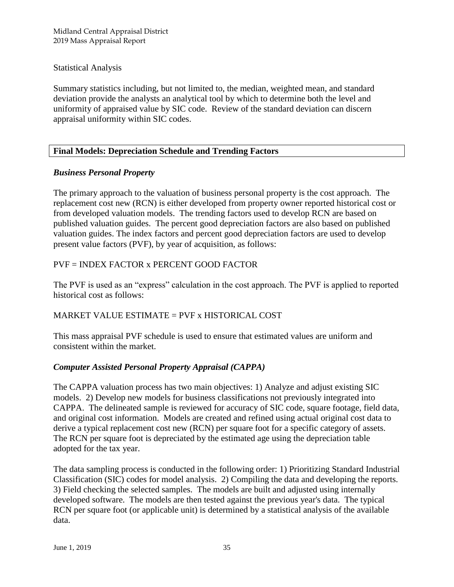Midland Central Appraisal District 2019 Mass Appraisal Report

Statistical Analysis

Summary statistics including, but not limited to, the median, weighted mean, and standard deviation provide the analysts an analytical tool by which to determine both the level and uniformity of appraised value by SIC code. Review of the standard deviation can discern appraisal uniformity within SIC codes.

# **Final Models: Depreciation Schedule and Trending Factors**

# *Business Personal Property*

The primary approach to the valuation of business personal property is the cost approach. The replacement cost new (RCN) is either developed from property owner reported historical cost or from developed valuation models. The trending factors used to develop RCN are based on published valuation guides. The percent good depreciation factors are also based on published valuation guides. The index factors and percent good depreciation factors are used to develop present value factors (PVF), by year of acquisition, as follows:

# PVF = INDEX FACTOR x PERCENT GOOD FACTOR

The PVF is used as an "express" calculation in the cost approach. The PVF is applied to reported historical cost as follows:

# MARKET VALUE ESTIMATE = PVF x HISTORICAL COST

This mass appraisal PVF schedule is used to ensure that estimated values are uniform and consistent within the market.

# *Computer Assisted Personal Property Appraisal (CAPPA)*

The CAPPA valuation process has two main objectives: 1) Analyze and adjust existing SIC models. 2) Develop new models for business classifications not previously integrated into CAPPA. The delineated sample is reviewed for accuracy of SIC code, square footage, field data, and original cost information. Models are created and refined using actual original cost data to derive a typical replacement cost new (RCN) per square foot for a specific category of assets. The RCN per square foot is depreciated by the estimated age using the depreciation table adopted for the tax year.

The data sampling process is conducted in the following order: 1) Prioritizing Standard Industrial Classification (SIC) codes for model analysis. 2) Compiling the data and developing the reports. 3) Field checking the selected samples. The models are built and adjusted using internally developed software. The models are then tested against the previous year's data. The typical RCN per square foot (or applicable unit) is determined by a statistical analysis of the available data.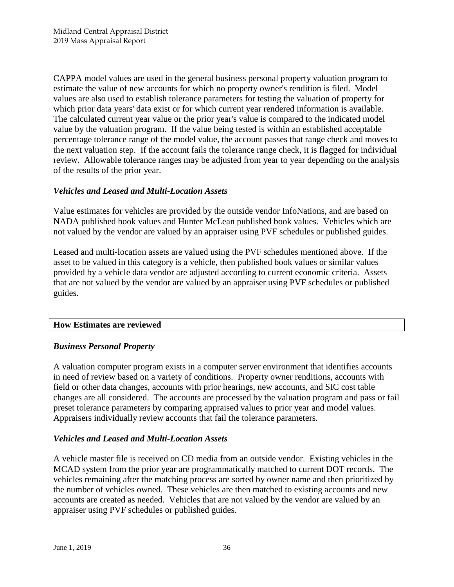CAPPA model values are used in the general business personal property valuation program to estimate the value of new accounts for which no property owner's rendition is filed. Model values are also used to establish tolerance parameters for testing the valuation of property for which prior data years' data exist or for which current year rendered information is available. The calculated current year value or the prior year's value is compared to the indicated model value by the valuation program. If the value being tested is within an established acceptable percentage tolerance range of the model value, the account passes that range check and moves to the next valuation step. If the account fails the tolerance range check, it is flagged for individual review. Allowable tolerance ranges may be adjusted from year to year depending on the analysis of the results of the prior year.

# *Vehicles and Leased and Multi-Location Assets*

Value estimates for vehicles are provided by the outside vendor InfoNations, and are based on NADA published book values and Hunter McLean published book values. Vehicles which are not valued by the vendor are valued by an appraiser using PVF schedules or published guides.

Leased and multi-location assets are valued using the PVF schedules mentioned above. If the asset to be valued in this category is a vehicle, then published book values or similar values provided by a vehicle data vendor are adjusted according to current economic criteria. Assets that are not valued by the vendor are valued by an appraiser using PVF schedules or published guides.

#### **How Estimates are reviewed**

#### *Business Personal Property*

A valuation computer program exists in a computer server environment that identifies accounts in need of review based on a variety of conditions. Property owner renditions, accounts with field or other data changes, accounts with prior hearings, new accounts, and SIC cost table changes are all considered. The accounts are processed by the valuation program and pass or fail preset tolerance parameters by comparing appraised values to prior year and model values. Appraisers individually review accounts that fail the tolerance parameters.

#### *Vehicles and Leased and Multi-Location Assets*

A vehicle master file is received on CD media from an outside vendor. Existing vehicles in the MCAD system from the prior year are programmatically matched to current DOT records. The vehicles remaining after the matching process are sorted by owner name and then prioritized by the number of vehicles owned. These vehicles are then matched to existing accounts and new accounts are created as needed. Vehicles that are not valued by the vendor are valued by an appraiser using PVF schedules or published guides.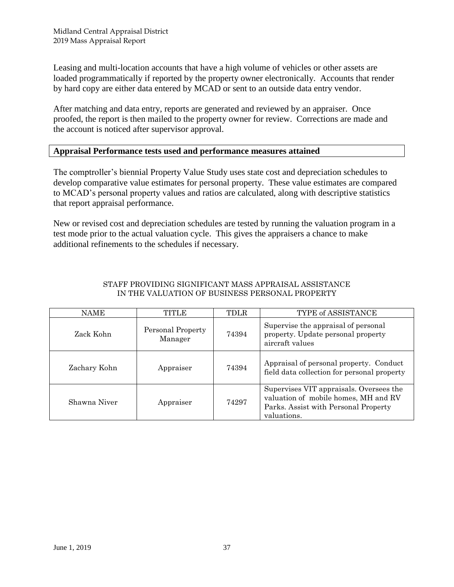Leasing and multi-location accounts that have a high volume of vehicles or other assets are loaded programmatically if reported by the property owner electronically. Accounts that render by hard copy are either data entered by MCAD or sent to an outside data entry vendor.

After matching and data entry, reports are generated and reviewed by an appraiser. Once proofed, the report is then mailed to the property owner for review. Corrections are made and the account is noticed after supervisor approval.

# **Appraisal Performance tests used and performance measures attained**

The comptroller's biennial Property Value Study uses state cost and depreciation schedules to develop comparative value estimates for personal property. These value estimates are compared to MCAD's personal property values and ratios are calculated, along with descriptive statistics that report appraisal performance.

New or revised cost and depreciation schedules are tested by running the valuation program in a test mode prior to the actual valuation cycle. This gives the appraisers a chance to make additional refinements to the schedules if necessary.

| NAME         | TITLE                        | TDLR  | TYPE of ASSISTANCE                                                                                                                     |
|--------------|------------------------------|-------|----------------------------------------------------------------------------------------------------------------------------------------|
| Zack Kohn    | Personal Property<br>Manager | 74394 | Supervise the appraisal of personal<br>property. Update personal property<br>aircraft values                                           |
| Zachary Kohn | Appraiser                    | 74394 | Appraisal of personal property. Conduct<br>field data collection for personal property                                                 |
| Shawna Niver | Appraiser                    | 74297 | Supervises VIT appraisals. Oversees the<br>valuation of mobile homes, MH and RV<br>Parks. Assist with Personal Property<br>valuations. |

#### STAFF PROVIDING SIGNIFICANT MASS APPRAISAL ASSISTANCE IN THE VALUATION OF BUSINESS PERSONAL PROPERTY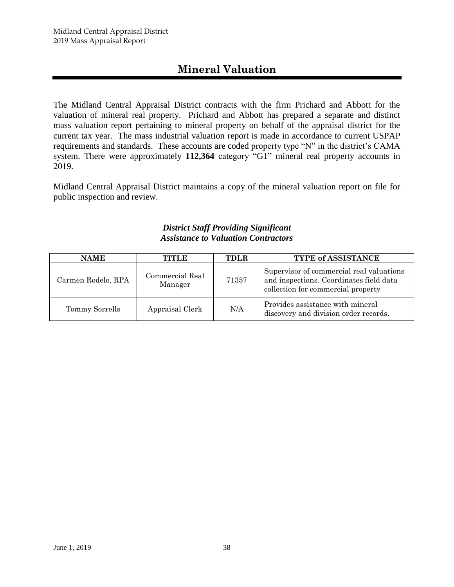# **Mineral Valuation**

The Midland Central Appraisal District contracts with the firm Prichard and Abbott for the valuation of mineral real property. Prichard and Abbott has prepared a separate and distinct mass valuation report pertaining to mineral property on behalf of the appraisal district for the current tax year. The mass industrial valuation report is made in accordance to current USPAP requirements and standards. These accounts are coded property type "N" in the district's CAMA system. There were approximately **112,364** category "G1" mineral real property accounts in 2019.

Midland Central Appraisal District maintains a copy of the mineral valuation report on file for public inspection and review.

# *District Staff Providing Significant Assistance to Valuation Contractors*

| <b>NAME</b>        | TITLE                      | <b>TDLR</b> | <b>TYPE of ASSISTANCE</b>                                                                                                 |
|--------------------|----------------------------|-------------|---------------------------------------------------------------------------------------------------------------------------|
| Carmen Rodelo, RPA | Commercial Real<br>Manager | 71357       | Supervisor of commercial real valuations<br>and inspections. Coordinates field data<br>collection for commercial property |
| Tommy Sorrells     | Appraisal Clerk            | N/A         | Provides assistance with mineral<br>discovery and division order records.                                                 |